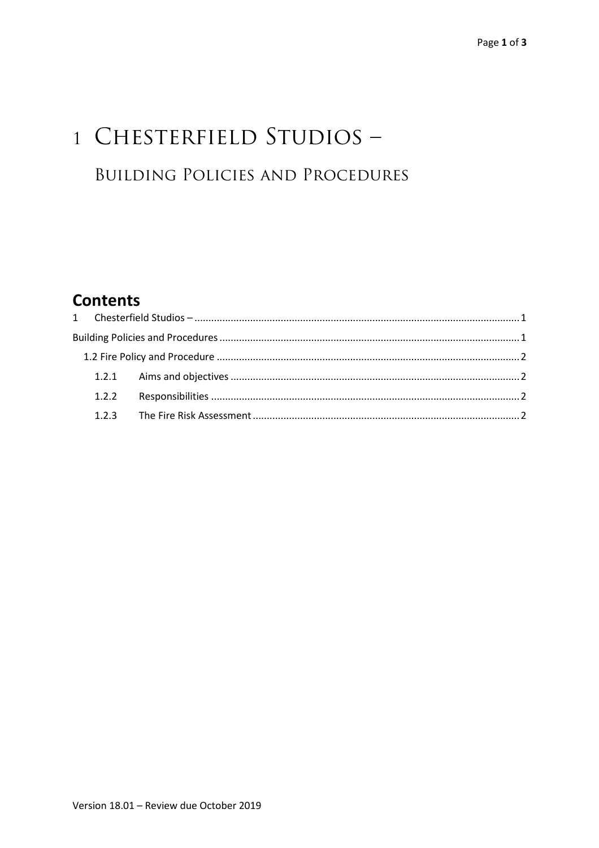# 1 CHESTERFIELD STUDIOS -**BUILDING POLICIES AND PROCEDURES**

## **Contents**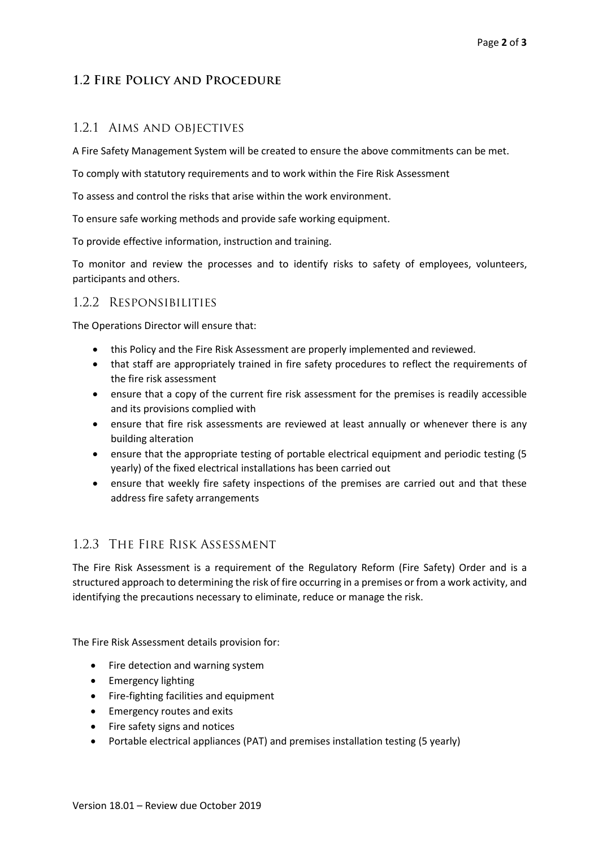### **1.2 Fire Policy and Procedure**

#### 1.2.1 Aims and objectives

A Fire Safety Management System will be created to ensure the above commitments can be met.

To comply with statutory requirements and to work within the Fire Risk Assessment

To assess and control the risks that arise within the work environment.

To ensure safe working methods and provide safe working equipment.

To provide effective information, instruction and training.

To monitor and review the processes and to identify risks to safety of employees, volunteers, participants and others.

#### 1.2.2 Responsibilities

The Operations Director will ensure that:

- this Policy and the Fire Risk Assessment are properly implemented and reviewed.
- that staff are appropriately trained in fire safety procedures to reflect the requirements of the fire risk assessment
- ensure that a copy of the current fire risk assessment for the premises is readily accessible and its provisions complied with
- ensure that fire risk assessments are reviewed at least annually or whenever there is any building alteration
- ensure that the appropriate testing of portable electrical equipment and periodic testing (5 yearly) of the fixed electrical installations has been carried out
- ensure that weekly fire safety inspections of the premises are carried out and that these address fire safety arrangements

#### 1.2.3 The Fire Risk Assessment

The Fire Risk Assessment is a requirement of the Regulatory Reform (Fire Safety) Order and is a structured approach to determining the risk of fire occurring in a premises or from a work activity, and identifying the precautions necessary to eliminate, reduce or manage the risk.

The Fire Risk Assessment details provision for:

- Fire detection and warning system
- Emergency lighting
- Fire-fighting facilities and equipment
- Emergency routes and exits
- Fire safety signs and notices
- Portable electrical appliances (PAT) and premises installation testing (5 yearly)